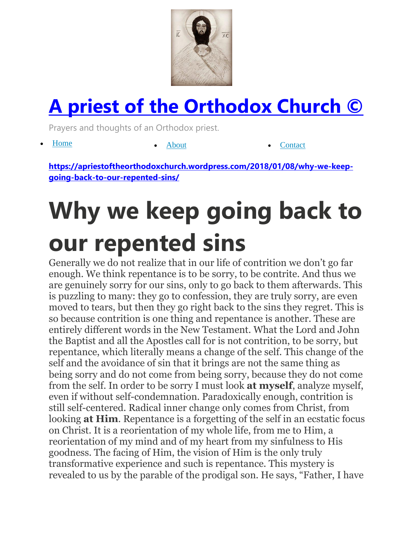

## **[A priest of the Orthodox Church ©](https://apriestoftheorthodoxchurch.wordpress.com/)**

Prayers and thoughts of an Orthodox priest.

• [Home](https://apriestoftheorthodoxchurch.wordpress.com/) [About](https://apriestoftheorthodoxchurch.wordpress.com/about/) [Contact](https://apriestoftheorthodoxchurch.wordpress.com/contact/)

**[https://apriestoftheorthodoxchurch.wordpress.com/2018/01/08/why-we-keep](https://apriestoftheorthodoxchurch.wordpress.com/2018/01/08/why-we-keep-going-back-to-our-repented-sins/)[going-back-to-our-repented-sins/](https://apriestoftheorthodoxchurch.wordpress.com/2018/01/08/why-we-keep-going-back-to-our-repented-sins/)**

## **Why we keep going back to our repented sins**

Generally we do not realize that in our life of contrition we don't go far enough. We think repentance is to be sorry, to be contrite. And thus we are genuinely sorry for our sins, only to go back to them afterwards. This is puzzling to many: they go to confession, they are truly sorry, are even moved to tears, but then they go right back to the sins they regret. This is so because contrition is one thing and repentance is another. These are entirely different words in the New Testament. What the Lord and John the Baptist and all the Apostles call for is not contrition, to be sorry, but repentance, which literally means a change of the self. This change of the self and the avoidance of sin that it brings are not the same thing as being sorry and do not come from being sorry, because they do not come from the self. In order to be sorry I must look **at myself**, analyze myself, even if without self-condemnation. Paradoxically enough, contrition is still self-centered. Radical inner change only comes from Christ, from looking **at Him**. Repentance is a forgetting of the self in an ecstatic focus on Christ. It is a reorientation of my whole life, from me to Him, a reorientation of my mind and of my heart from my sinfulness to His goodness. The facing of Him, the vision of Him is the only truly transformative experience and such is repentance. This mystery is revealed to us by the parable of the prodigal son. He says, "Father, I have